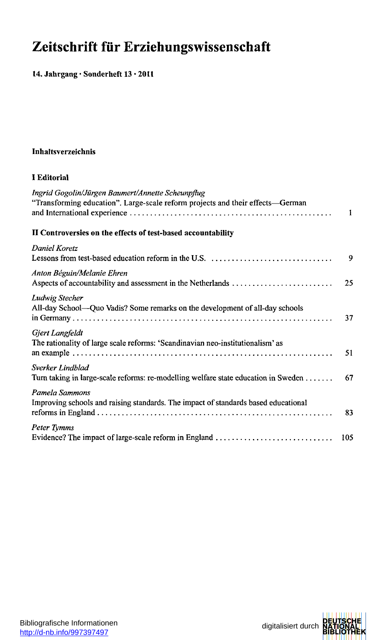# **Zeitschrift fü r Erziehungswissenschaft**

### **14 . Jahrgan g • Sonderheft 1 3 • 201 1**

#### **Inhaltsverzeichni s**

#### **I Editoria l**

| Ingrid Gogolin/Jürgen Baumert/Annette Scheunpflug<br>"Transforming education". Large-scale reform projects and their effects—German | 1   |
|-------------------------------------------------------------------------------------------------------------------------------------|-----|
| II Controversies on the effects of test-based accountability                                                                        |     |
| <b>Daniel Koretz</b>                                                                                                                | 9   |
| Anton Béguin/Melanie Ehren<br>Aspects of accountability and assessment in the Netherlands                                           | 25  |
| <b>Ludwig Stecher</b><br>All-day School-Quo Vadis? Some remarks on the development of all-day schools                               | 37  |
| Gjert Langfeldt<br>The rationality of large scale reforms: 'Scandinavian neo-institutionalism' as                                   | 51  |
| Sverker Lindhlad<br>Turn taking in large-scale reforms: re-modelling welfare state education in Sweden                              | 67  |
| Pamela Sammons<br>Improving schools and raising standards. The impact of standards based educational                                | 83  |
| Peter Tymms<br>Evidence? The impact of large-scale reform in England                                                                | 105 |